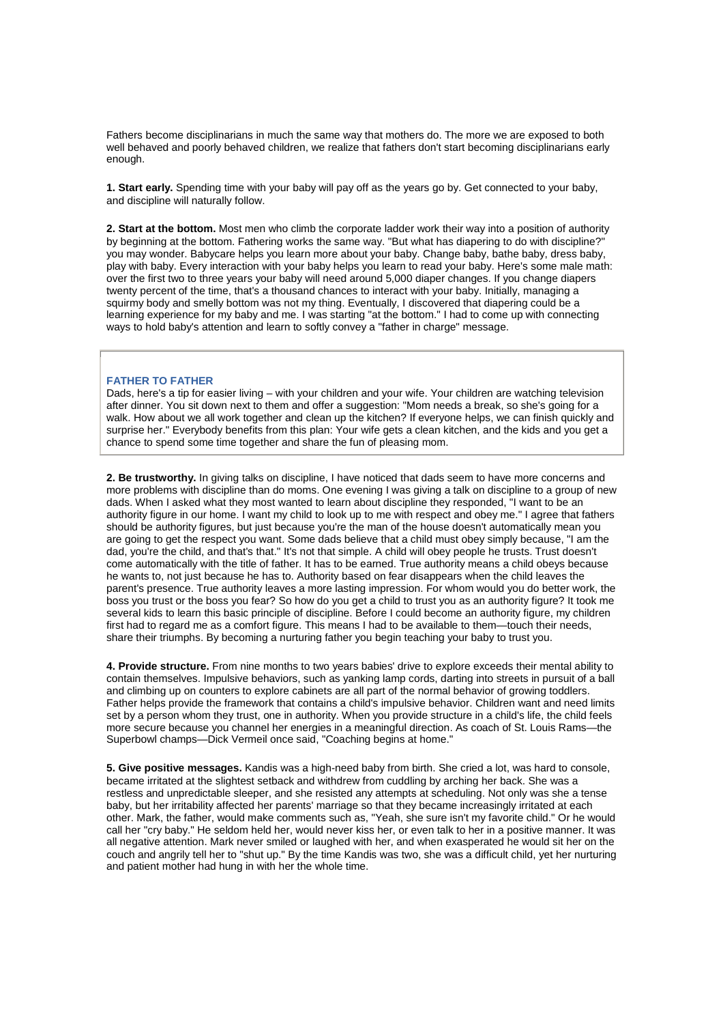Fathers become disciplinarians in much the same way that mothers do. The more we are exposed to both well behaved and poorly behaved children, we realize that fathers don't start becoming disciplinarians early enough.

**1. Start early.** Spending time with your baby will pay off as the years go by. Get connected to your baby, and discipline will naturally follow.

**2. Start at the bottom.** Most men who climb the corporate ladder work their way into a position of authority by beginning at the bottom. Fathering works the same way. "But what has diapering to do with discipline?" you may wonder. Babycare helps you learn more about your baby. Change baby, bathe baby, dress baby, play with baby. Every interaction with your baby helps you learn to read your baby. Here's some male math: over the first two to three years your baby will need around 5,000 diaper changes. If you change diapers twenty percent of the time, that's a thousand chances to interact with your baby. Initially, managing a squirmy body and smelly bottom was not my thing. Eventually, I discovered that diapering could be a learning experience for my baby and me. I was starting "at the bottom." I had to come up with connecting ways to hold baby's attention and learn to softly convey a "father in charge" message.

## **FATHER TO FATHER**

Dads, here's a tip for easier living – with your children and your wife. Your children are watching television after dinner. You sit down next to them and offer a suggestion: "Mom needs a break, so she's going for a walk. How about we all work together and clean up the kitchen? If everyone helps, we can finish quickly and surprise her." Everybody benefits from this plan: Your wife gets a clean kitchen, and the kids and you get a chance to spend some time together and share the fun of pleasing mom.

**2. Be trustworthy.** In giving talks on discipline, I have noticed that dads seem to have more concerns and more problems with discipline than do moms. One evening I was giving a talk on discipline to a group of new dads. When I asked what they most wanted to learn about discipline they responded, "I want to be an authority figure in our home. I want my child to look up to me with respect and obey me." I agree that fathers should be authority figures, but just because you're the man of the house doesn't automatically mean you are going to get the respect you want. Some dads believe that a child must obey simply because, "I am the dad, you're the child, and that's that." It's not that simple. A child will obey people he trusts. Trust doesn't come automatically with the title of father. It has to be earned. True authority means a child obeys because he wants to, not just because he has to. Authority based on fear disappears when the child leaves the parent's presence. True authority leaves a more lasting impression. For whom would you do better work, the boss you trust or the boss you fear? So how do you get a child to trust you as an authority figure? It took me several kids to learn this basic principle of discipline. Before I could become an authority figure, my children first had to regard me as a comfort figure. This means I had to be available to them—touch their needs, share their triumphs. By becoming a nurturing father you begin teaching your baby to trust you.

**4. Provide structure.** From nine months to two years babies' drive to explore exceeds their mental ability to contain themselves. Impulsive behaviors, such as yanking lamp cords, darting into streets in pursuit of a ball and climbing up on counters to explore cabinets are all part of the normal behavior of growing toddlers. Father helps provide the framework that contains a child's impulsive behavior. Children want and need limits set by a person whom they trust, one in authority. When you provide structure in a child's life, the child feels more secure because you channel her energies in a meaningful direction. As coach of St. Louis Rams—the Superbowl champs—Dick Vermeil once said, "Coaching begins at home."

**5. Give positive messages.** Kandis was a high-need baby from birth. She cried a lot, was hard to console, became irritated at the slightest setback and withdrew from cuddling by arching her back. She was a restless and unpredictable sleeper, and she resisted any attempts at scheduling. Not only was she a tense baby, but her irritability affected her parents' marriage so that they became increasingly irritated at each other. Mark, the father, would make comments such as, "Yeah, she sure isn't my favorite child." Or he would call her "cry baby." He seldom held her, would never kiss her, or even talk to her in a positive manner. It was all negative attention. Mark never smiled or laughed with her, and when exasperated he would sit her on the couch and angrily tell her to "shut up." By the time Kandis was two, she was a difficult child, yet her nurturing and patient mother had hung in with her the whole time.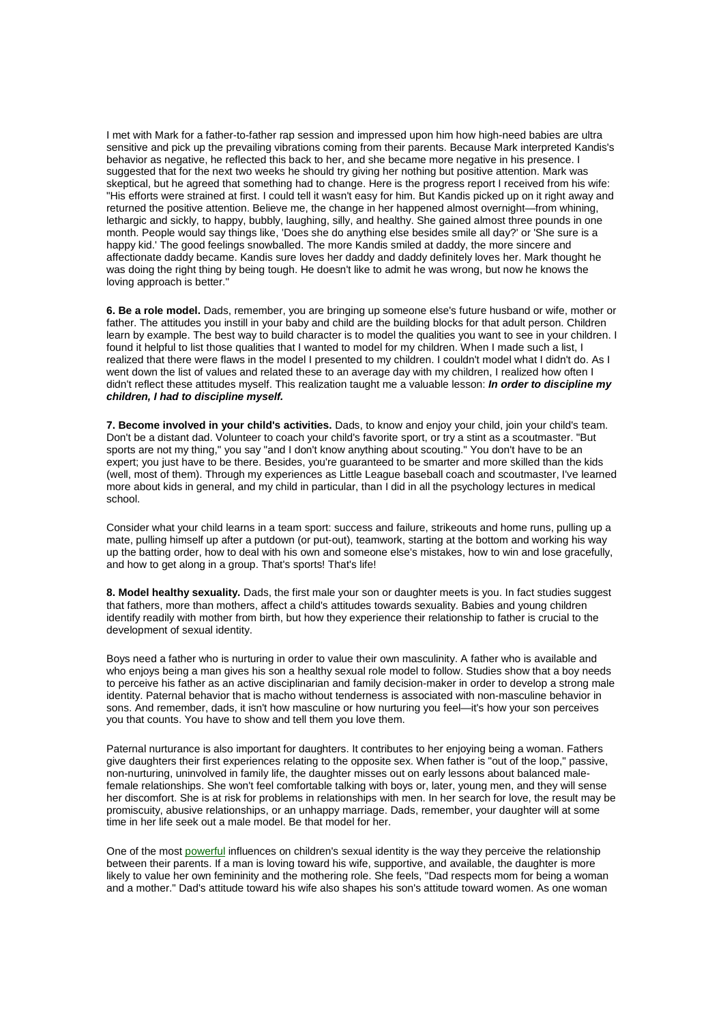I met with Mark for a father-to-father rap session and impressed upon him how high-need babies are ultra sensitive and pick up the prevailing vibrations coming from their parents. Because Mark interpreted Kandis's behavior as negative, he reflected this back to her, and she became more negative in his presence. I suggested that for the next two weeks he should try giving her nothing but positive attention. Mark was skeptical, but he agreed that something had to change. Here is the progress report I received from his wife: "His efforts were strained at first. I could tell it wasn't easy for him. But Kandis picked up on it right away and returned the positive attention. Believe me, the change in her happened almost overnight—from whining, lethargic and sickly, to happy, bubbly, laughing, silly, and healthy. She gained almost three pounds in one month. People would say things like, 'Does she do anything else besides smile all day?' or 'She sure is a happy kid.' The good feelings snowballed. The more Kandis smiled at daddy, the more sincere and affectionate daddy became. Kandis sure loves her daddy and daddy definitely loves her. Mark thought he was doing the right thing by being tough. He doesn't like to admit he was wrong, but now he knows the loving approach is better."

**6. Be a role model.** Dads, remember, you are bringing up someone else's future husband or wife, mother or father. The attitudes you instill in your baby and child are the building blocks for that adult person. Children learn by example. The best way to build character is to model the qualities you want to see in your children. I found it helpful to list those qualities that I wanted to model for my children. When I made such a list, I realized that there were flaws in the model I presented to my children. I couldn't model what I didn't do. As I went down the list of values and related these to an average day with my children, I realized how often I didn't reflect these attitudes myself. This realization taught me a valuable lesson: **In order to discipline my children, I had to discipline myself.**

**7. Become involved in your child's activities.** Dads, to know and enjoy your child, join your child's team. Don't be a distant dad. Volunteer to coach your child's favorite sport, or try a stint as a scoutmaster. "But sports are not my thing," you say "and I don't know anything about scouting." You don't have to be an expert; you just have to be there. Besides, you're guaranteed to be smarter and more skilled than the kids (well, most of them). Through my experiences as Little League baseball coach and scoutmaster, I've learned more about kids in general, and my child in particular, than I did in all the psychology lectures in medical school.

Consider what your child learns in a team sport: success and failure, strikeouts and home runs, pulling up a mate, pulling himself up after a putdown (or put-out), teamwork, starting at the bottom and working his way up the batting order, how to deal with his own and someone else's mistakes, how to win and lose gracefully, and how to get along in a group. That's sports! That's life!

**8. Model healthy sexuality.** Dads, the first male your son or daughter meets is you. In fact studies suggest that fathers, more than mothers, affect a child's attitudes towards sexuality. Babies and young children identify readily with mother from birth, but how they experience their relationship to father is crucial to the development of sexual identity.

Boys need a father who is nurturing in order to value their own masculinity. A father who is available and who enjoys being a man gives his son a healthy sexual role model to follow. Studies show that a boy needs to perceive his father as an active disciplinarian and family decision-maker in order to develop a strong male identity. Paternal behavior that is macho without tenderness is associated with non-masculine behavior in sons. And remember, dads, it isn't how masculine or how nurturing you feel—it's how your son perceives you that counts. You have to show and tell them you love them.

Paternal nurturance is also important for daughters. It contributes to her enjoying being a woman. Fathers give daughters their first experiences relating to the opposite sex. When father is "out of the loop," passive, non-nurturing, uninvolved in family life, the daughter misses out on early lessons about balanced malefemale relationships. She won't feel comfortable talking with boys or, later, young men, and they will sense her discomfort. She is at risk for problems in relationships with men. In her search for love, the result may be promiscuity, abusive relationships, or an unhappy marriage. Dads, remember, your daughter will at some time in her life seek out a male model. Be that model for her.

One of the most powerful influences on children's sexual identity is the way they perceive the relationship between their parents. If a man is loving toward his wife, supportive, and available, the daughter is more likely to value her own femininity and the mothering role. She feels, "Dad respects mom for being a woman and a mother." Dad's attitude toward his wife also shapes his son's attitude toward women. As one woman